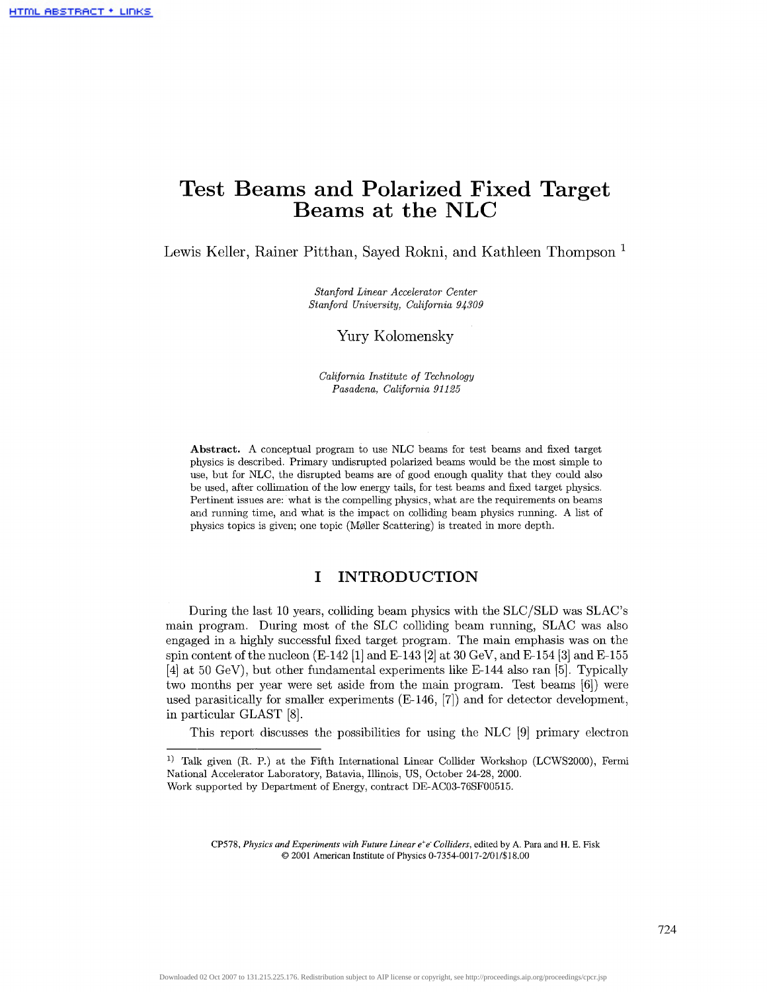# **Test Beams and Polarized Fixed Target Beams at the NLC**

Lewis Keller, Rainer Pitthan, Sayed Rokni, and Kathleen Thompson<sup>1</sup>

*Stanford Linear Accelerator Center Stanford University, California 94309*

Yury Kolomensky

*California Institute of Technology Pasadena, California 91125*

**Abstract.** A conceptual program to use NLC beams for test beams and fixed target physics is described. Primary undisrupted polarized beams would be the most simple to use, but for NLC, the disrupted beams are of good enough quality that they could also be used, after collimation of the low energy tails, for test beams and fixed target physics. Pertinent issues are: what is the compelling physics, what are the requirements on beams and running time, and what is the impact on colliding beam physics running. A list of physics topics is given; one topic (M011er Scattering) is treated in more depth.

### **I INTRODUCTION**

During the last 10 years, colliding beam physics with the SLC/SLD was SLAC's main program. During most of the SLC colliding beam running, SLAG was also engaged in a highly successful fixed target program. The main emphasis was on the spin content of the nucleon  $(E-142 \ 1]$  and  $E-143 \ 2]$  at 30 GeV, and  $E-154 \ 3]$  and  $E-155$ [4] at 50 GeV), but other fundamental experiments like E-144 also ran [5]. Typically two months per year were set aside from the main program. Test beams [6]) were used parasitically for smaller experiments (E-146, [7]) and for detector development, in particular GLAST [8].

This report discusses the possibilities for using the NLC [9] primary electron

CP578, *Physics and Experiments with Future Linear e + e' Colliders,* edited by A. Para and H. E. Fisk © 2001 American Institute of Physics 0-7354-0017-2/017\$ 18.00

<sup>&</sup>lt;sup>1)</sup> Talk given (R. P.) at the Fifth International Linear Collider Workshop (LCWS2000), Fermi National Accelerator Laboratory, Batavia, Illinois, US, October 24-28, 2000. Work supported by Department of Energy, contract DE-AC03-76SF00515.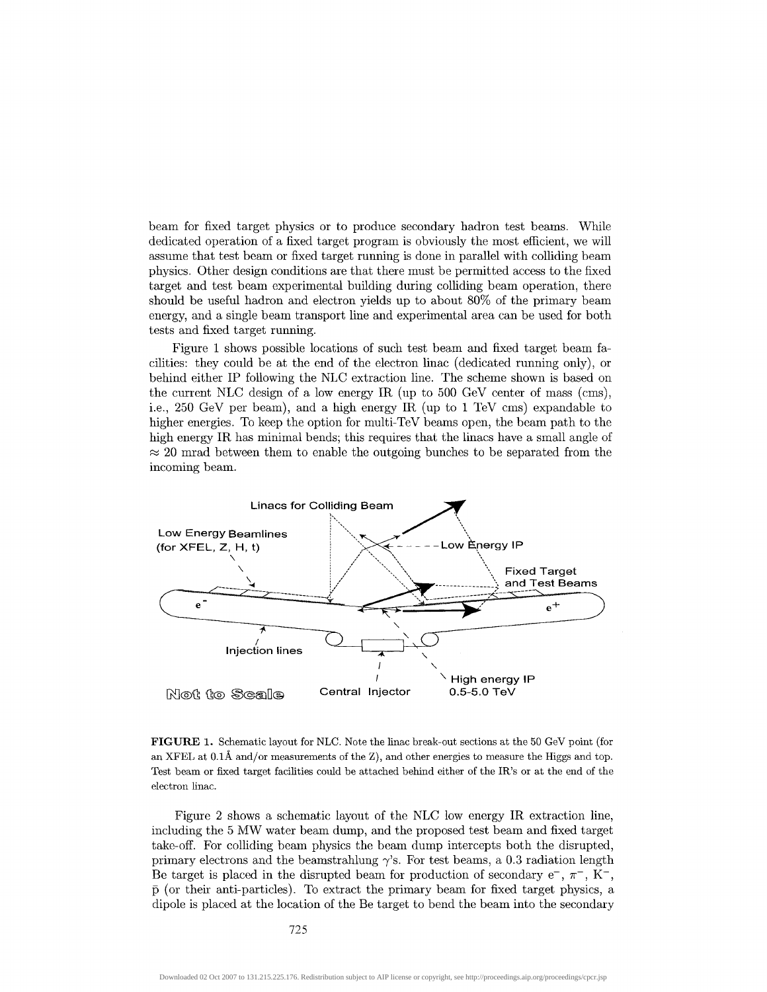beam for fixed target physics or to produce secondary hadron test beams. While dedicated operation of a fixed target program is obviously the most efficient, we will assume that test beam or fixed target running is done in parallel with colliding beam physics. Other design conditions are that there must be permitted access to the fixed target and test beam experimental building during colliding beam operation, there should be useful hadron and electron yields up to about 80% of the primary beam energy, and a single beam transport line and experimental area can be used for both tests and fixed target running.

Figure 1 shows possible locations of such test beam and fixed target beam facilities: they could be at the end of the electron linac (dedicated running only), or behind either IP following the NLC extraction line. The scheme shown is based on the current NLC design of a low energy IR (up to 500 GeV center of mass (cms), i.e., 250 GeV per beam), and a high energy IR (up to 1 TeV cms) expandable to higher energies. To keep the option for multi-TeV beams open, the beam path to the high energy IR has minimal bends; this requires that the linacs have a small angle of  $\approx$  20 mrad between them to enable the outgoing bunches to be separated from the incoming beam.



**FIGURE 1.** Schematic layout for NLC. Note the linac break-out sections at the 50 GeV point (for an XFEL at  $0.1\text{\AA}$  and/or measurements of the Z), and other energies to measure the Higgs and top. Test beam or fixed target facilities could be attached behind either of the IR's or at the end of the electron linac.

Figure 2 shows a schematic layout of the NLC low energy IR extraction line, including the 5 MW water beam dump, and the proposed test beam and fixed target take-off. For colliding beam physics the beam dump intercepts both the disrupted, primary electrons and the beamstrahlung  $\gamma$ 's. For test beams, a 0.3 radiation length Be target is placed in the disrupted beam for production of secondary  $e^{-}$ ,  $\pi^{-}$ , K<sup>-</sup>,  $\bar{p}$  (or their anti-particles). To extract the primary beam for fixed target physics, a dipole is placed at the location of the Be target to bend the beam into the secondary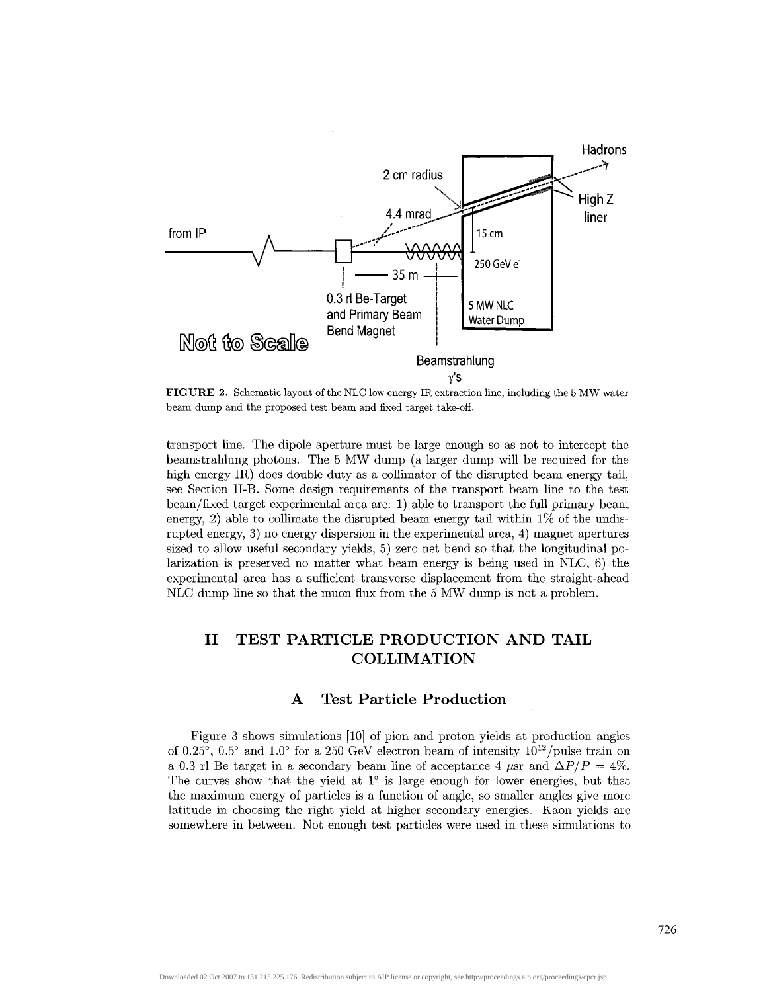

**FIGURE 2.** Schematic layout of the NLC low energy IR extraction line, including the 5 MW water beam dump and the proposed test beam and fixed target take-off.

transport line. The dipole aperture must be large enough so as not to intercept the beamstrahlung photons. The 5 MW dump (a larger dump will be required for the high energy IR) does double duty as a collimator of the disrupted beam energy tail, see Section II-B. Some design requirements of the transport beam line to the test beam/fixed target experimental area are: 1) able to transport the full primary beam energy, 2) able to collimate the disrupted beam energy tail within  $1\%$  of the undisrupted energy, 3) no energy dispersion in the experimental area, 4) magnet apertures sized to allow useful secondary yields, 5) zero net bend so that the longitudinal polarization is preserved no matter what beam energy is being used in NLC, 6) the experimental area has a sufficient transverse displacement from the straight-ahead NLC dump line so that the muon flux from the 5 MW dump is not a problem.

# **II TEST PARTICLE PRODUCTION AND TAIL COLLIMATION**

### **A Test Particle Production**

Figure 3 shows simulations [10] of pion and proton yields at production angles of 0.25°, 0.5° and 1.0° for a 250 GeV electron beam of intensity  $10^{12}/p$  ulse train on a 0.3 rl Be target in a secondary beam line of acceptance 4  $\mu$ sr and  $\Delta P/P = 4\%$ . The curves show that the yield at 1° is large enough for lower energies, but that the maximum energy of particles is a function of angle, so smaller angles give more latitude in choosing the right yield at higher secondary energies. Kaon yields are somewhere in between. Not enough test particles were used in these simulations to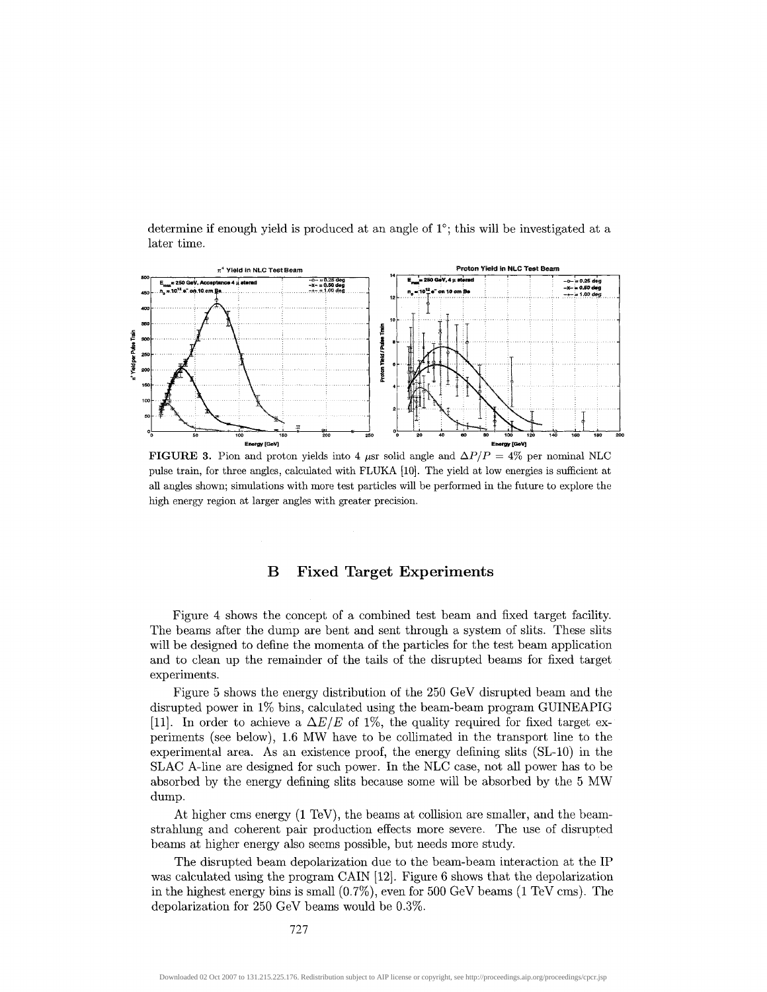determine if enough yield is produced at an angle of 1°; this will be investigated at a later time.



**FIGURE 3.** Pion and proton yields into 4  $\mu$ sr solid angle and  $\Delta P/P = 4\%$  per nominal NLC pulse train, for three angles, calculated with FLUKA [10]. The yield at low energies is sufficient at all angles shown; simulations with more test particles will be performed in the future to explore the high energy region at larger angles with greater precision.

#### **B Fixed Target Experiments**

Figure 4 shows the concept of a combined test beam and fixed target facility. The beams after the dump are bent and sent through a system of slits. These slits will be designed to define the momenta of the particles for the test beam application and to clean up the remainder of the tails of the disrupted beams for fixed target experiments.

Figure 5 shows the energy distribution of the 250 GeV disrupted beam and the disrupted power in 1% bins, calculated using the beam-beam program GUINEAPIG [11]. In order to achieve a  $\Delta E/E$  of 1%, the quality required for fixed target experiments (see below), 1.6 MW have to be collimated in the transport line to the experimental area. As an existence proof, the energy defining slits (SL-10) in the SLAG A-line are designed for such power. In the NLC case, not all power has to be absorbed by the energy defining slits because some will be absorbed by the 5 MW dump.

At higher cms energy (1 TeV), the beams at collision are smaller, and the beamstrahlung and coherent pair production effects more severe. The use of disrupted beams at higher energy also seems possible, but needs more study.

The disrupted beam depolarization due to the beam-beam interaction at the IP was calculated using the program CAIN [12]. Figure 6 shows that the depolarization in the highest energy bins is small (0.7%), even for 500 GeV beams (1 TeV cms). The depolarization for 250 GeV beams would be 0.3%.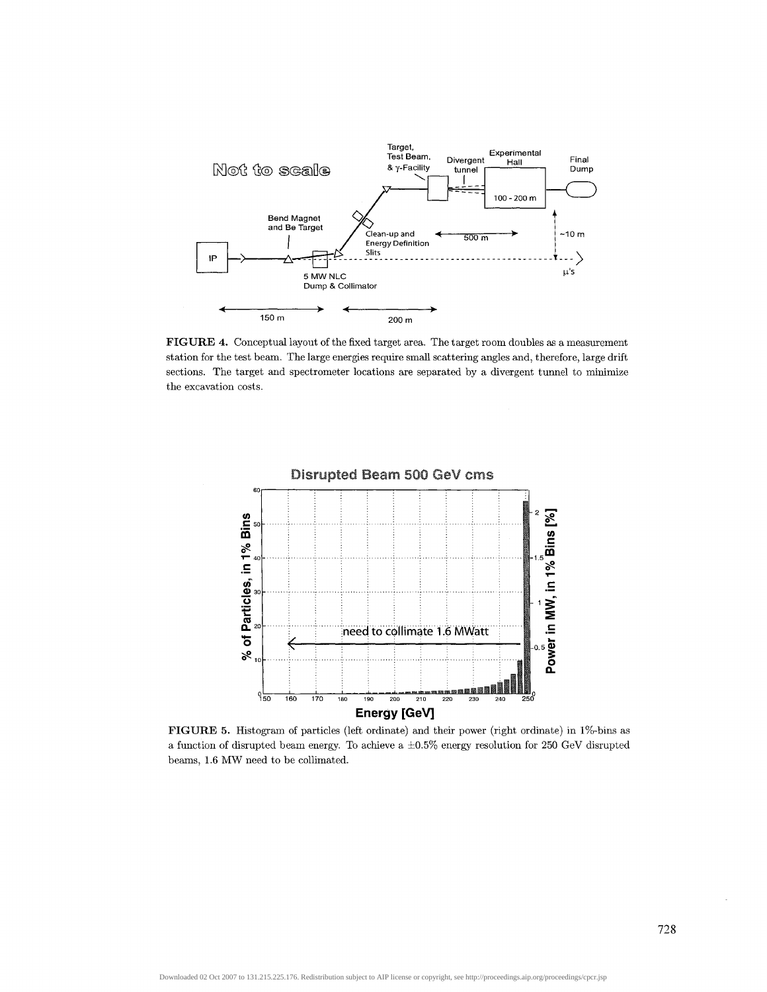

**FIGURE 4.** Conceptual layout of the fixed target area. The target room doubles as a measurement station for the test beam. The large energies require small scattering angles and, therefore, large drift sections. The target and spectrometer locations are separated by a divergent tunnel to minimize the excavation costs.



**FIGURE 5.** Histogram of particles (left ordinate) and their power (right ordinate) in 1%-bins as a function of disrupted beam energy. To achieve a ±0.5% energy resolution for 250 GeV disrupted beams, 1.6 MW need to be collimated.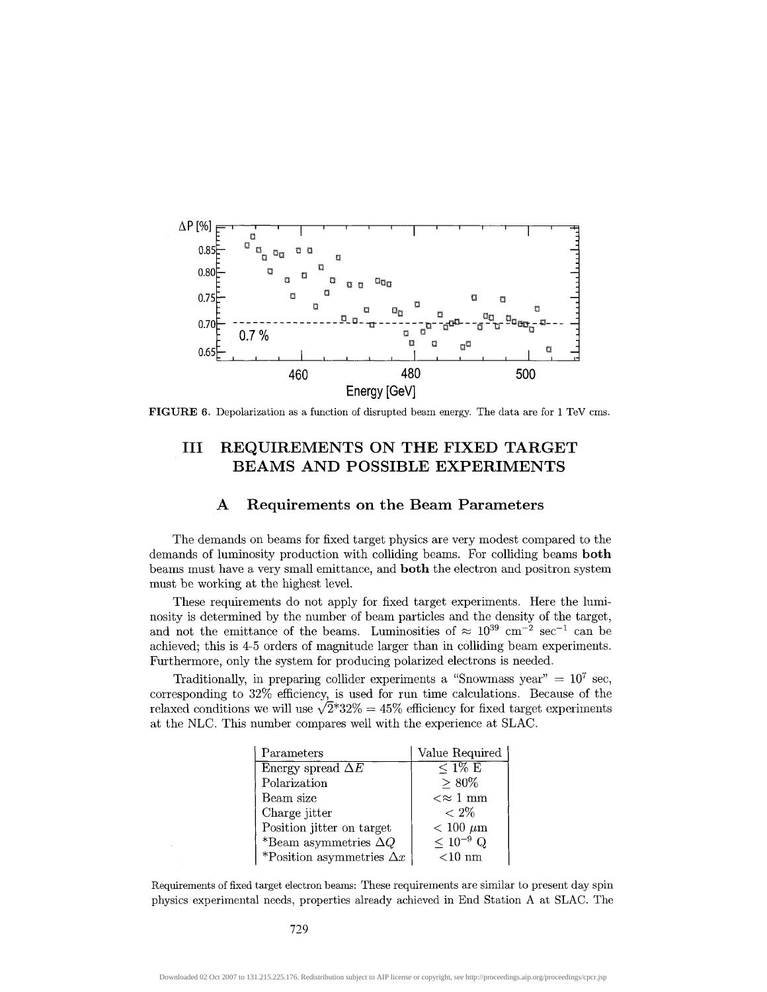

**FIGURE 6.** Depolarization as a function of disrupted beam energy. The data are for 1 TeV cms.

# **Ill REQUIREMENTS ON THE FIXED TARGET BEAMS AND POSSIBLE EXPERIMENTS**

#### **A Requirements on the Beam Parameters**

The demands on beams for fixed target physics are very modest compared to the demands of luminosity production with colliding beams. For colliding beams **both** beams must have a very small emittance, and **both** the electron and positron system must be working at the highest level.

These requirements do not apply for fixed target experiments. Here the luminosity is determined by the number of beam particles and the density of the target, and not the emittance of the beams. Luminosities of  $\approx 10^{39}$  cm<sup>-2</sup> sec<sup>-1</sup> can be achieved; this is 4-5 orders of magnitude larger than in colliding beam experiments. Furthermore, only the system for producing polarized electrons is needed.

Traditionally, in preparing collider experiments a "Snowmass year" =  $10^7$  sec, corresponding to 32% efficiency, is used for run time calculations. Because of the relaxed conditions we will use  $\sqrt{2}$ \*32% = 45% efficiency for fixed target experiments at the NLC. This number compares well with the experience at SLAG.

| Parameters                       | Value Required     |  |
|----------------------------------|--------------------|--|
| Energy spread $\Delta E$         | $< 1\% \to$        |  |
| Polarization                     | $> 80\%$           |  |
| Beam size                        | $\ll \approx 1$ mm |  |
| Charge jitter                    | $\epsilon < 2\%$   |  |
| Position jitter on target        | $< 100 \mu m$      |  |
| *Beam asymmetries $\Delta Q$     | $< 10^{-9}$ Q      |  |
| *Position asymmetries $\Delta x$ | $<$ 10 nm          |  |

Requirements of fixed target electron beams: These requirements are similar to present day spin physics experimental needs, properties already achieved in End Station A at SLAG. The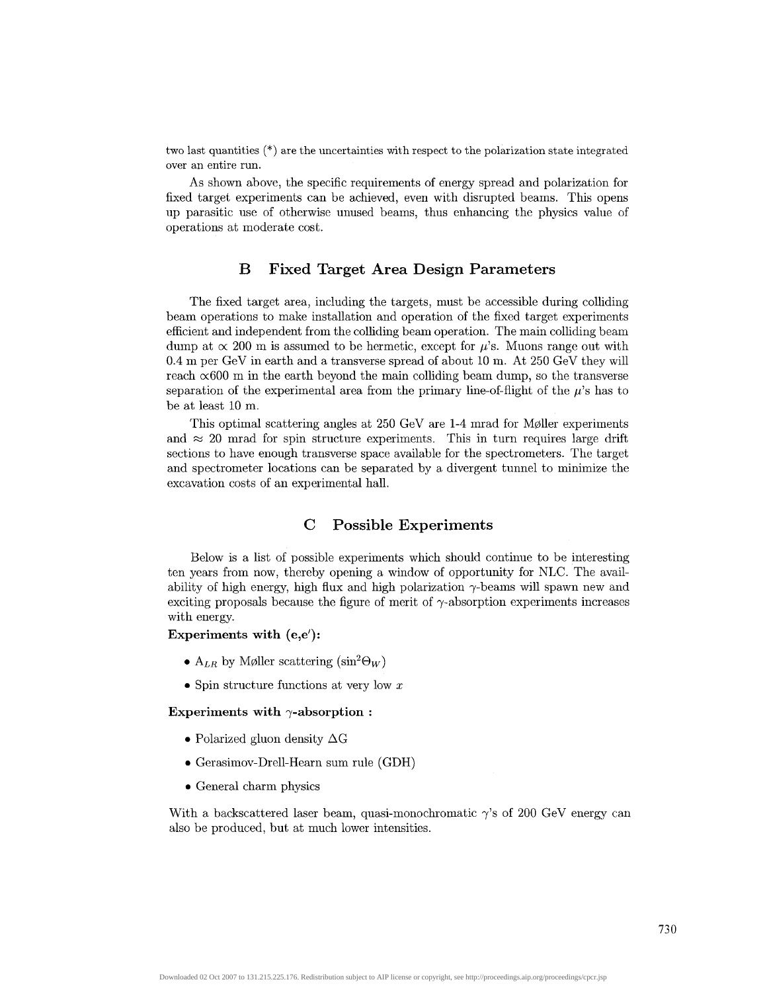two last quantities (\*) are the uncertainties with respect to the polarization state integrated over an entire run.

As shown above, the specific requirements of energy spread and polarization for fixed target experiments can be achieved, even with disrupted beams. This opens up parasitic use of otherwise unused beams, thus enhancing the physics value of operations at moderate cost.

### **B Fixed Target Area Design Parameters**

The fixed target area, including the targets, must be accessible during colliding beam operations to make installation and operation of the fixed target experiments efficient and independent from the colliding beam operation. The main colliding beam dump at  $\propto$  200 m is assumed to be hermetic, except for  $\mu$ 's. Muons range out with 0.4 m per GeV in earth and a transverse spread of about 10 m. At 250 GeV they will reach  $\infty$ 600 m in the earth beyond the main colliding beam dump, so the transverse separation of the experimental area from the primary line-of-flight of the  $\mu$ 's has to be at least 10 m.

This optimal scattering angles at 250 GeV are 1-4 mrad for M011er experiments and  $\approx$  20 mrad for spin structure experiments. This in turn requires large drift sections to have enough transverse space available for the spectrometers. The target and spectrometer locations can be separated by a divergent tunnel to minimize the excavation costs of an experimental hall.

### **C Possible Experiments**

Below is a list of possible experiments which should continue to be interesting ten years from now, thereby opening a window of opportunity for NLC. The availability of high energy, high flux and high polarization  $\gamma$ -beams will spawn new and exciting proposals because the figure of merit of  $\gamma$ -absorption experiments increases with energy.

#### **Experiments with (e,e'):**

- $A_{LR}$  by Møller scattering  $(\sin^2 \Theta_W)$
- Spin structure functions at very low *x*

#### Experiments with  $\gamma$ -absorption :

- Polarized gluon density  $\Delta G$
- Gerasimov-Drell-Hearn sum rule (GDH)
- General charm physics

With a backscattered laser beam, quasi-monochromatic  $\gamma$ 's of 200 GeV energy can also be produced, but at much lower intensities.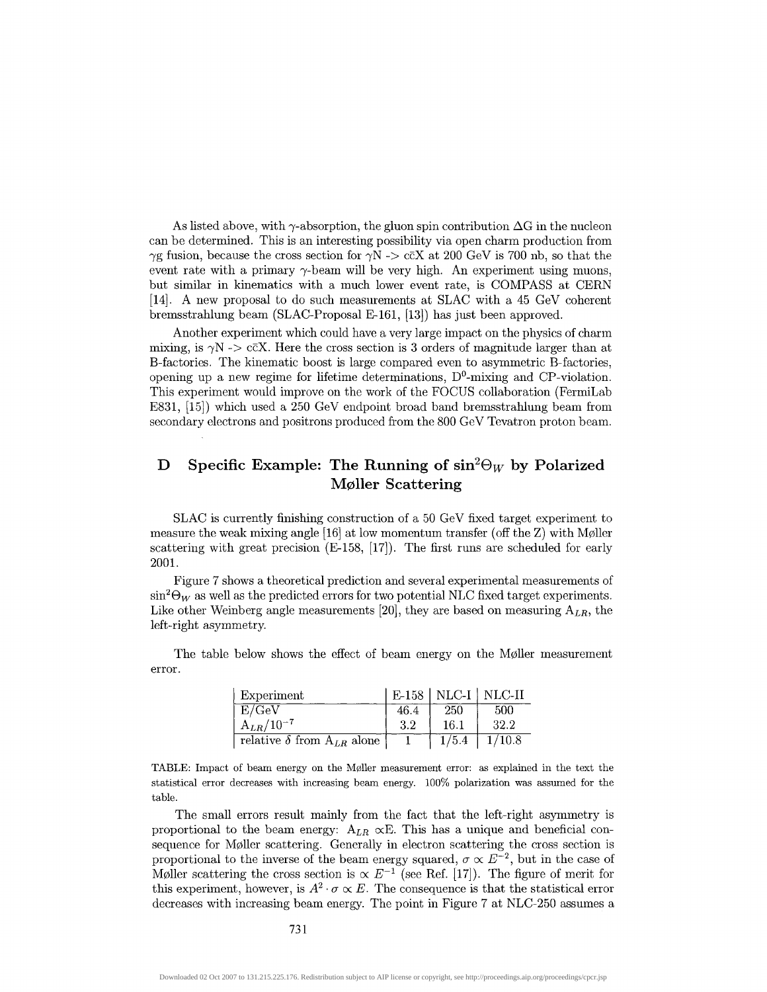As listed above, with  $\gamma$ -absorption, the gluon spin contribution  $\Delta G$  in the nucleon can be determined. This is an interesting possibility via open charm production from  $\gamma$ g fusion, because the cross section for  $\gamma$ N -> c $\bar{c}$ X at 200 GeV is 700 nb, so that the event rate with a primary  $\gamma$ -beam will be very high. An experiment using muons, but similar in kinematics with a much lower event rate, is COMPASS at CERN [14]. A new proposal to do such measurements at SLAG with a 45 GeV coherent bremsstrahlung beam (SLAC-Proposal E-161, [13]) has just been approved.

Another experiment which could have a very large impact on the physics of charm mixing, is  $\gamma N \rightarrow \text{c}\bar{\text{c}}X$ . Here the cross section is 3 orders of magnitude larger than at B-factories. The kinematic boost is large compared even to asymmetric B-factories, opening up a new regime for lifetime determinations,  $D^0$ -mixing and CP-violation. This experiment would improve on the work of the FOCUS collaboration (FermiLab E831, [15]) which used a 250 GeV endpoint broad band bremsstrahlung beam from secondary electrons and positrons produced from the 800 GeV Tevatron proton beam.

# **D** Specific Example: The Running of  $\sin^2\Theta_W$  by Polarized **M011er Scattering**

SLAG is currently finishing construction of a 50 GeV fixed target experiment to measure the weak mixing angle [16] at low momentum transfer (off the Z) with M011er scattering with great precision (E-158, [17]). The first runs are scheduled for early 2001.

Figure 7 shows a theoretical prediction and several experimental measurements of  $\sin^2\Theta_W$  as well as the predicted errors for two potential NLC fixed target experiments. Like other Weinberg angle measurements [20], they are based on measuring *ALR,* the left-right asymmetry.

The table below shows the effect of beam energy on the Møller measurement error.

| Experiment                            |      |       | $E-158$   NLC-I   NLC-II |
|---------------------------------------|------|-------|--------------------------|
| E/GeV                                 | 46.4 | 250   | 500                      |
| $A_{LR}/10^{-7}$                      | -3.2 | 16.1  | 32.2                     |
| relative $\delta$ from $A_{LR}$ alone |      | 1/5.4 | 1/10.8                   |

TABLE: Impact of beam energy on the M011er measurement error: as explained in the text the statistical error decreases with increasing beam energy. 100% polarization was assumed for the table.

The small errors result mainly from the fact that the left-right asymmetry is proportional to the beam energy:  $A_{LR} \propto E$ . This has a unique and beneficial consequence for Møller scattering. Generally in electron scattering the cross section is proportional to the inverse of the beam energy squared,  $\sigma \propto E^{-2}$ , but in the case of Møller scattering the cross section is  $\propto E^{-1}$  (see Ref. [17]). The figure of merit for this experiment, however, is  $A^2 \cdot \sigma \propto E$ . The consequence is that the statistical error decreases with increasing beam energy. The point in Figure 7 at NLC-250 assumes a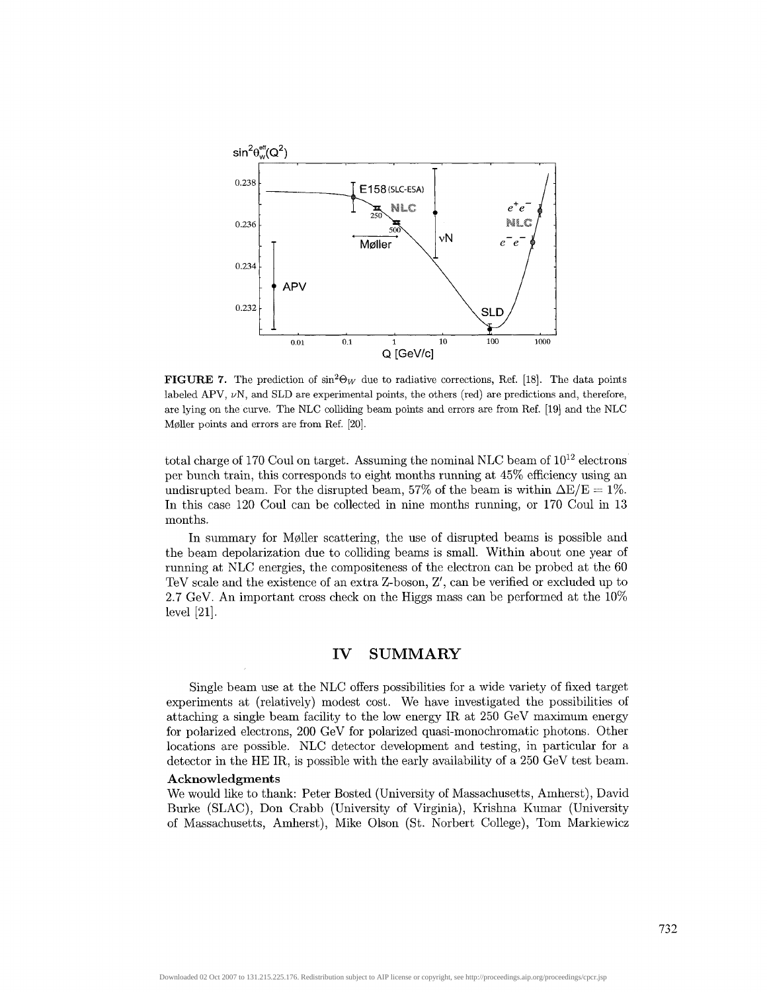

**FIGURE** 7. The prediction of  $\sin^2\Theta_W$  due to radiative corrections, Ref. [18]. The data points labeled APV,  $\nu$ N, and SLD are experimental points, the others (red) are predictions and, therefore, are lying on the curve. The NLC colliding beam points and errors are from Ref. [19] and the NLC Møller points and errors are from Ref. [20].

total charge of 170 Coul on target. Assuming the nominal NLC beam of  $10^{12}$  electrons per bunch train, this corresponds to eight months running at 45% efficiency using an undisrupted beam. For the disrupted beam, 57% of the beam is within  $\Delta E/E = 1\%$ . In this case 120 Coul can be collected in nine months running, or 170 Coul in 13 months.

In summary for M011er scattering, the use of disrupted beams is possible and the beam depolarization due to colliding beams is small. Within about one year of running at NLC energies, the compositeness of the electron can be probed at the 60 TeV scale and the existence of an extra Z-boson, Z', can be verified or excluded up to 2.7 GeV. An important cross check on the Higgs mass can be performed at the 10% level [21].

#### **IV SUMMARY**

Single beam use at the NLC offers possibilities for a wide variety of fixed target experiments at (relatively) modest cost. We have investigated the possibilities of attaching a single beam facility to the low energy IR at 250 GeV maximum energy for polarized electrons, 200 GeV for polarized quasi-monochromatic photons. Other locations are possible. NLC detector development and testing, in particular for a detector in the HE IR, is possible with the early availability of a 250 GeV test beam.

#### **Acknowledgments**

We would like to thank: Peter Bosted (University of Massachusetts, Amherst), David Burke (SLAG), Don Crabb (University of Virginia), Krishna Kumar (University of Massachusetts, Amherst), Mike Olson (St. Norbert College), Tom Markiewicz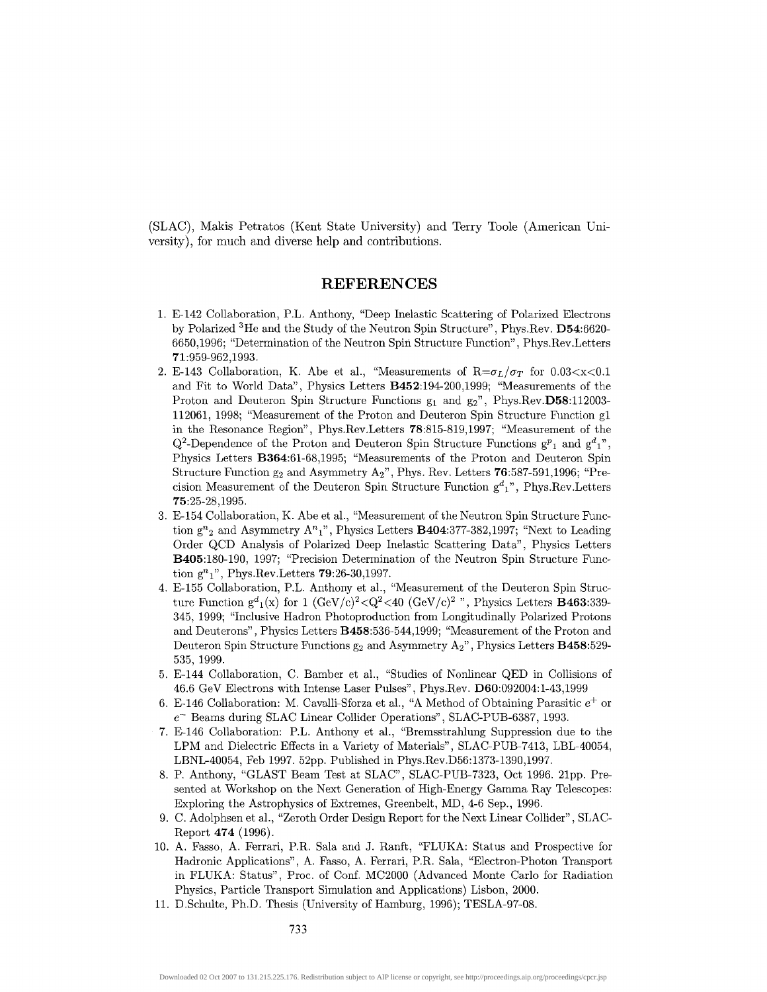(SLAG), Makis Petratos (Kent State University) and Terry Toole (American University), for much and diverse help and contributions.

#### **REFERENCES**

- 1. E-142 Collaboration, P.L. Anthony, "Deep Inelastic Scattering of Polarized Electrons by Polarized <sup>3</sup>He and the Study of the Neutron Spin Structure", Phys.Rev. D54:6620-6650,1996; "Determination of the Neutron Spin Structure Function", Phys.Rev. Letters 71:959-962,1993.
- 2. E-143 Collaboration, K. Abe et al., "Measurements of  $R = \sigma_L / \sigma_T$  for 0.03 < x < 0.1 and Fit to World Data", Physics Letters B452:194-200,1999; "Measurements of the Proton and Deuteron Spin Structure Functions  $g_1$  and  $g_2$ ", Phys.Rev.D58:112003-112061, 1998; "Measurement of the Proton and Deuteron Spin Structure Function gl in the Resonance Region", Phys.Rev.Letters 78:815-819,1997; "Measurement of the  $Q^2$ -Dependence of the Proton and Deuteron Spin Structure Functions  $g^p{}_1$  and  $g^d{}_1$ ", Physics Letters B364:61-68,1995; "Measurements of the Proton and Deuteron Spin Structure Function  $g_2$  and Asymmetry  $A_2$ ", Phys. Rev. Letters 76:587-591,1996; "Precision Measurement of the Deuteron Spin Structure Function  $g<sup>d</sup><sub>1</sub>$ ", Phys.Rev.Letters 75:25-28,1995.
- 3. E-154 Collaboration, K. Abe et al., "Measurement of the Neutron Spin Structure Function  $g^{n}{}_{2}$  and Asymmetry  $A^{n}{}_{1}$ ", Physics Letters **B404**:377-382,1997; "Next to Leading Order QCD Analysis of Polarized Deep Inelastic Scattering Data", Physics Letters B405:180-190, 1997; "Precision Determination of the Neutron Spin Structure Function  $g^n_1$ ", Phys.Rev.Letters **79**:26-30,1997.
- 4. E-155 Collaboration, P.L. Anthony et al., "Measurement of the Deuteron Spin Structure Function  $g^d_1(x)$  for 1  $(GeV/c)^2 < Q^2 < 40$   $(GeV/c)^2$  ", Physics Letters **B463**:339-345, 1999; "Inclusive Hadron Photoproduction from Longitudinally Polarized Protons and Deuterons", Physics Letters B458:536-544,1999; "Measurement of the Proton and Deuteron Spin Structure Functions  $g_2$  and Asymmetry  $A_2$ ", Physics Letters **B458**:529-535, 1999.
- 5. E-144 Collaboration, C. Bamber et al., "Studies of Nonlinear QED in Collisions of 46.6 GeV Electrons with Intense Laser Pulses", Phys.Rev. D60:092004:l-43,1999
- 6. E-146 Collaboration: M. Cavalli-Sforza et al., "A Method of Obtaining Parasitic  $e^+$  or *e-* Beams during SLAC Linear Collider Operations", SLAC-PUB-6387, 1993.
- 7. E-146 Collaboration: P.L. Anthony et al., "Bremsstrahlung Suppression due to the LPM and Dielectric Effects in a Variety of Materials", SLAC-PUB-7413, LBL-40054, LBNL-40054, Feb 1997. 52pp. Published in Phys.Rev.D56:1373-1390,1997.
- 8. P. Anthony, "GLAST Beam Test at SLAC", SLAC-PUB-7323, Oct 1996. 21pp. Presented at Workshop on the Next Generation of High-Energy Gamma Ray Telescopes: Exploring the Astrophysics of Extremes, Greenbelt, MD, 4-6 Sep., 1996.
- 9. C. Adolphsen et al., "Zeroth Order Design Report for the Next Linear Collider", SLAC-Report 474 (1996).
- 10. A. Fasso, A. Ferrari, P.R. Sala and J. Ranft, "FLUKA: Status and Prospective for Hadronic Applications", A. Fasso, A. Ferrari, P.R. Sala, "Electron-Photon Transport in FLUKA: Status", Proc. of Conf. MC2000 (Advanced Monte Carlo for Radiation Physics, Particle Transport Simulation and Applications) Lisbon, 2000.
- 11. D.Schulte, Ph.D. Thesis (University of Hamburg, 1996); TESLA-97-08.